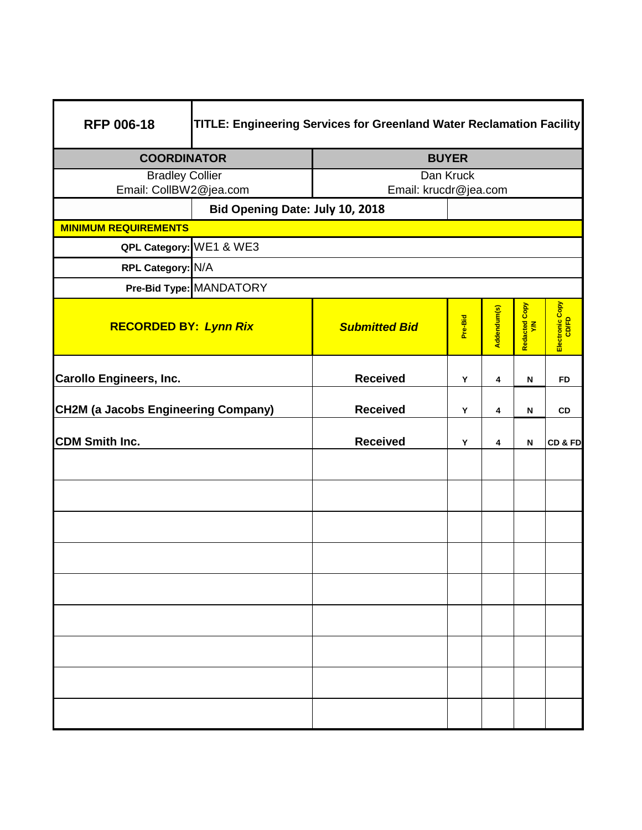| <b>RFP 006-18</b>                          | TITLE: Engineering Services for Greenland Water Reclamation Facility |                       |         |             |                      |                          |
|--------------------------------------------|----------------------------------------------------------------------|-----------------------|---------|-------------|----------------------|--------------------------|
| <b>COORDINATOR</b>                         |                                                                      | <b>BUYER</b>          |         |             |                      |                          |
| <b>Bradley Collier</b>                     |                                                                      | Dan Kruck             |         |             |                      |                          |
| Email: CollBW2@jea.com                     |                                                                      | Email: krucdr@jea.com |         |             |                      |                          |
|                                            | Bid Opening Date: July 10, 2018                                      |                       |         |             |                      |                          |
| <b>MINIMUM REQUIREMENTS</b>                |                                                                      |                       |         |             |                      |                          |
| QPL Category: WE1 & WE3                    |                                                                      |                       |         |             |                      |                          |
| RPL Category: N/A                          |                                                                      |                       |         |             |                      |                          |
|                                            | Pre-Bid Type: MANDATORY                                              |                       |         |             |                      |                          |
| <b>RECORDED BY: Lynn Rix</b>               |                                                                      | <b>Submitted Bid</b>  | Pre-Bid | Addendum(s) | Redacted Copy<br>Y/N | Electronic Copy<br>CD/FD |
| <b>Carollo Engineers, Inc.</b>             |                                                                      | <b>Received</b>       | Υ       | 4           | N                    | <b>FD</b>                |
| <b>CH2M (a Jacobs Engineering Company)</b> |                                                                      | <b>Received</b>       | Y       | 4           | N                    | <b>CD</b>                |
| <b>CDM Smith Inc.</b>                      |                                                                      | <b>Received</b>       | Y       | 4           | N                    | CD&FD                    |
|                                            |                                                                      |                       |         |             |                      |                          |
|                                            |                                                                      |                       |         |             |                      |                          |
|                                            |                                                                      |                       |         |             |                      |                          |
|                                            |                                                                      |                       |         |             |                      |                          |
|                                            |                                                                      |                       |         |             |                      |                          |
|                                            |                                                                      |                       |         |             |                      |                          |
|                                            |                                                                      |                       |         |             |                      |                          |
|                                            |                                                                      |                       |         |             |                      |                          |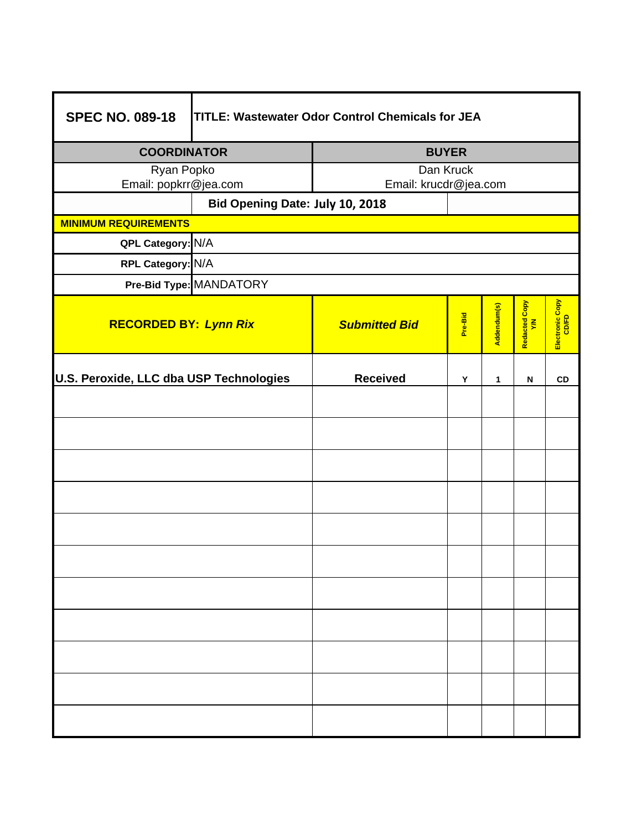| <b>SPEC NO. 089-18</b><br><b>TITLE: Wastewater Odor Control Chemicals for JEA</b> |                      |                       |             |                      |                          |  |  |
|-----------------------------------------------------------------------------------|----------------------|-----------------------|-------------|----------------------|--------------------------|--|--|
| <b>COORDINATOR</b>                                                                | <b>BUYER</b>         |                       |             |                      |                          |  |  |
| Ryan Popko                                                                        | Dan Kruck            |                       |             |                      |                          |  |  |
| Email: popkrr@jea.com<br>Bid Opening Date: July 10, 2018                          |                      | Email: krucdr@jea.com |             |                      |                          |  |  |
| <b>MINIMUM REQUIREMENTS</b>                                                       |                      |                       |             |                      |                          |  |  |
| QPL Category: N/A                                                                 |                      |                       |             |                      |                          |  |  |
| RPL Category: N/A                                                                 |                      |                       |             |                      |                          |  |  |
| Pre-Bid Type: MANDATORY                                                           |                      |                       |             |                      |                          |  |  |
| <b>RECORDED BY: Lynn Rix</b>                                                      | <b>Submitted Bid</b> | Pre-Bid               | Addendum(s) | Redacted Copy<br>Y/N | Electronic Copy<br>CD/FD |  |  |
| U.S. Peroxide, LLC dba USP Technologies                                           | <b>Received</b>      | Y                     | 1           | N                    | <b>CD</b>                |  |  |
|                                                                                   |                      |                       |             |                      |                          |  |  |
|                                                                                   |                      |                       |             |                      |                          |  |  |
|                                                                                   |                      |                       |             |                      |                          |  |  |
|                                                                                   |                      |                       |             |                      |                          |  |  |
|                                                                                   |                      |                       |             |                      |                          |  |  |
|                                                                                   |                      |                       |             |                      |                          |  |  |
|                                                                                   |                      |                       |             |                      |                          |  |  |
|                                                                                   |                      |                       |             |                      |                          |  |  |
|                                                                                   |                      |                       |             |                      |                          |  |  |
|                                                                                   |                      |                       |             |                      |                          |  |  |